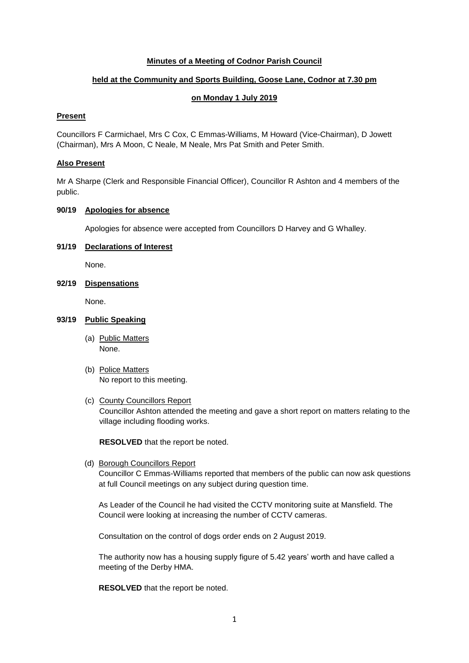## **Minutes of a Meeting of Codnor Parish Council**

# **held at the Community and Sports Building, Goose Lane, Codnor at 7.30 pm**

### **on Monday 1 July 2019**

## **Present**

Councillors F Carmichael, Mrs C Cox, C Emmas-Williams, M Howard (Vice-Chairman), D Jowett (Chairman), Mrs A Moon, C Neale, M Neale, Mrs Pat Smith and Peter Smith.

#### **Also Present**

Mr A Sharpe (Clerk and Responsible Financial Officer), Councillor R Ashton and 4 members of the public.

# **90/19 Apologies for absence**

Apologies for absence were accepted from Councillors D Harvey and G Whalley.

# **91/19 Declarations of Interest**

None.

### **92/19 Dispensations**

None.

## **93/19 Public Speaking**

- (a) Public Matters None.
- (b) Police Matters No report to this meeting.

## (c) County Councillors Report

Councillor Ashton attended the meeting and gave a short report on matters relating to the village including flooding works.

**RESOLVED** that the report be noted.

(d) Borough Councillors Report

Councillor C Emmas-Williams reported that members of the public can now ask questions at full Council meetings on any subject during question time.

As Leader of the Council he had visited the CCTV monitoring suite at Mansfield. The Council were looking at increasing the number of CCTV cameras.

Consultation on the control of dogs order ends on 2 August 2019.

The authority now has a housing supply figure of 5.42 years' worth and have called a meeting of the Derby HMA.

**RESOLVED** that the report be noted.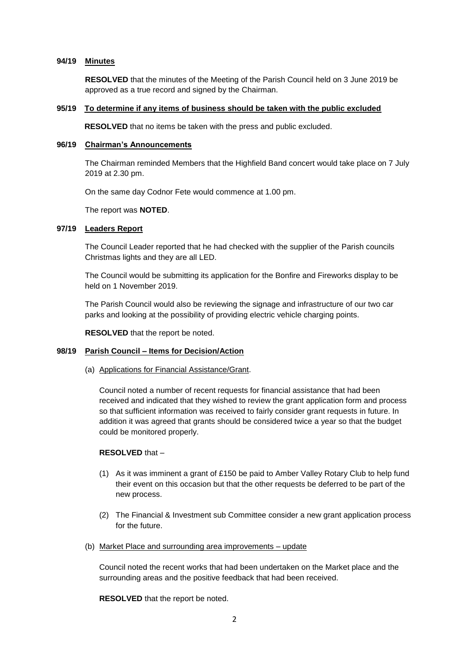# **94/19 Minutes**

**RESOLVED** that the minutes of the Meeting of the Parish Council held on 3 June 2019 be approved as a true record and signed by the Chairman.

#### **95/19 To determine if any items of business should be taken with the public excluded**

**RESOLVED** that no items be taken with the press and public excluded.

## **96/19 Chairman's Announcements**

The Chairman reminded Members that the Highfield Band concert would take place on 7 July 2019 at 2.30 pm.

On the same day Codnor Fete would commence at 1.00 pm.

The report was **NOTED**.

## **97/19 Leaders Report**

The Council Leader reported that he had checked with the supplier of the Parish councils Christmas lights and they are all LED.

The Council would be submitting its application for the Bonfire and Fireworks display to be held on 1 November 2019.

The Parish Council would also be reviewing the signage and infrastructure of our two car parks and looking at the possibility of providing electric vehicle charging points.

**RESOLVED** that the report be noted.

## **98/19 Parish Council – Items for Decision/Action**

(a) Applications for Financial Assistance/Grant.

Council noted a number of recent requests for financial assistance that had been received and indicated that they wished to review the grant application form and process so that sufficient information was received to fairly consider grant requests in future. In addition it was agreed that grants should be considered twice a year so that the budget could be monitored properly.

#### **RESOLVED** that –

- (1) As it was imminent a grant of £150 be paid to Amber Valley Rotary Club to help fund their event on this occasion but that the other requests be deferred to be part of the new process.
- (2) The Financial & Investment sub Committee consider a new grant application process for the future.
- (b) Market Place and surrounding area improvements update

Council noted the recent works that had been undertaken on the Market place and the surrounding areas and the positive feedback that had been received.

**RESOLVED** that the report be noted.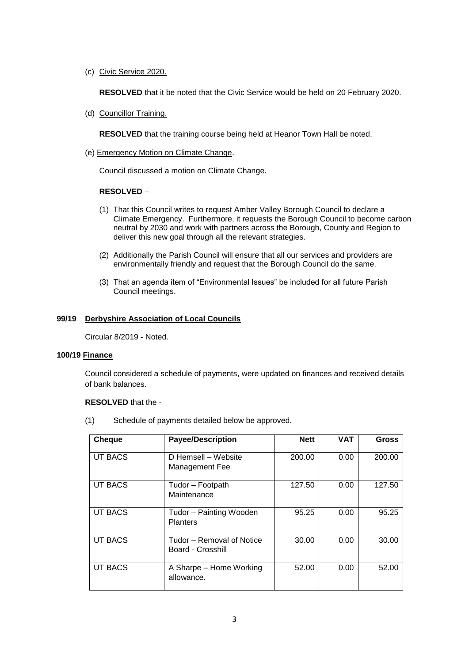(c) Civic Service 2020.

**RESOLVED** that it be noted that the Civic Service would be held on 20 February 2020.

(d) Councillor Training.

**RESOLVED** that the training course being held at Heanor Town Hall be noted.

(e) Emergency Motion on Climate Change.

Council discussed a motion on Climate Change.

### **RESOLVED** –

- (1) That this Council writes to request Amber Valley Borough Council to declare a Climate Emergency. Furthermore, it requests the Borough Council to become carbon neutral by 2030 and work with partners across the Borough, County and Region to deliver this new goal through all the relevant strategies.
- (2) Additionally the Parish Council will ensure that all our services and providers are environmentally friendly and request that the Borough Council do the same.
- (3) That an agenda item of "Environmental Issues" be included for all future Parish Council meetings.

### **99/19 Derbyshire Association of Local Councils**

Circular 8/2019 - Noted.

#### **100/19 Finance**

Council considered a schedule of payments, were updated on finances and received details of bank balances.

#### **RESOLVED** that the -

(1) Schedule of payments detailed below be approved.

| <b>Cheque</b>  | <b>Payee/Description</b>                       | <b>Nett</b> | <b>VAT</b> | <b>Gross</b> |
|----------------|------------------------------------------------|-------------|------------|--------------|
| <b>UT BACS</b> | D Hemsell - Website<br>Management Fee          | 200.00      | 0.00       | 200.00       |
| <b>UT BACS</b> | Tudor – Footpath<br>Maintenance                | 127.50      | 0.00       | 127.50       |
| <b>UT BACS</b> | Tudor - Painting Wooden<br><b>Planters</b>     | 95.25       | 0.00       | 95.25        |
| <b>UT BACS</b> | Tudor – Removal of Notice<br>Board - Crosshill | 30.00       | 0.00       | 30.00        |
| <b>UT BACS</b> | A Sharpe - Home Working<br>allowance.          | 52.00       | 0.00       | 52.00        |